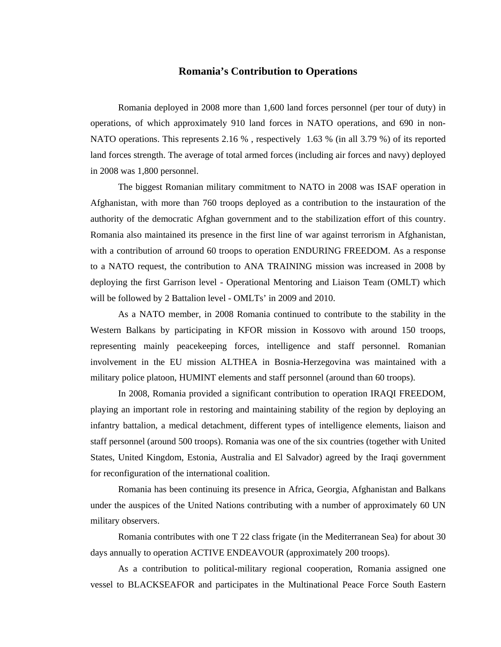## **Romania's Contribution to Operations**

Romania deployed in 2008 more than 1,600 land forces personnel (per tour of duty) in operations, of which approximately 910 land forces in NATO operations, and 690 in non-NATO operations. This represents 2.16 % , respectively 1.63 % (in all 3.79 %) of its reported land forces strength. The average of total armed forces (including air forces and navy) deployed in 2008 was 1,800 personnel.

The biggest Romanian military commitment to NATO in 2008 was ISAF operation in Afghanistan, with more than 760 troops deployed as a contribution to the instauration of the authority of the democratic Afghan government and to the stabilization effort of this country. Romania also maintained its presence in the first line of war against terrorism in Afghanistan, with a contribution of arround 60 troops to operation ENDURING FREEDOM. As a response to a NATO request, the contribution to ANA TRAINING mission was increased in 2008 by deploying the first Garrison level - Operational Mentoring and Liaison Team (OMLT) which will be followed by 2 Battalion level - OMLTs' in 2009 and 2010.

As a NATO member, in 2008 Romania continued to contribute to the stability in the Western Balkans by participating in KFOR mission in Kossovo with around 150 troops, representing mainly peacekeeping forces, intelligence and staff personnel. Romanian involvement in the EU mission ALTHEA in Bosnia-Herzegovina was maintained with a military police platoon, HUMINT elements and staff personnel (around than 60 troops).

In 2008, Romania provided a significant contribution to operation IRAQI FREEDOM, playing an important role in restoring and maintaining stability of the region by deploying an infantry battalion, a medical detachment, different types of intelligence elements, liaison and staff personnel (around 500 troops). Romania was one of the six countries (together with United States, United Kingdom, Estonia, Australia and El Salvador) agreed by the Iraqi government for reconfiguration of the international coalition.

Romania has been continuing its presence in Africa, Georgia, Afghanistan and Balkans under the auspices of the United Nations contributing with a number of approximately 60 UN military observers.

Romania contributes with one T 22 class frigate (in the Mediterranean Sea) for about 30 days annually to operation ACTIVE ENDEAVOUR (approximately 200 troops).

As a contribution to political-military regional cooperation, Romania assigned one vessel to BLACKSEAFOR and participates in the Multinational Peace Force South Eastern